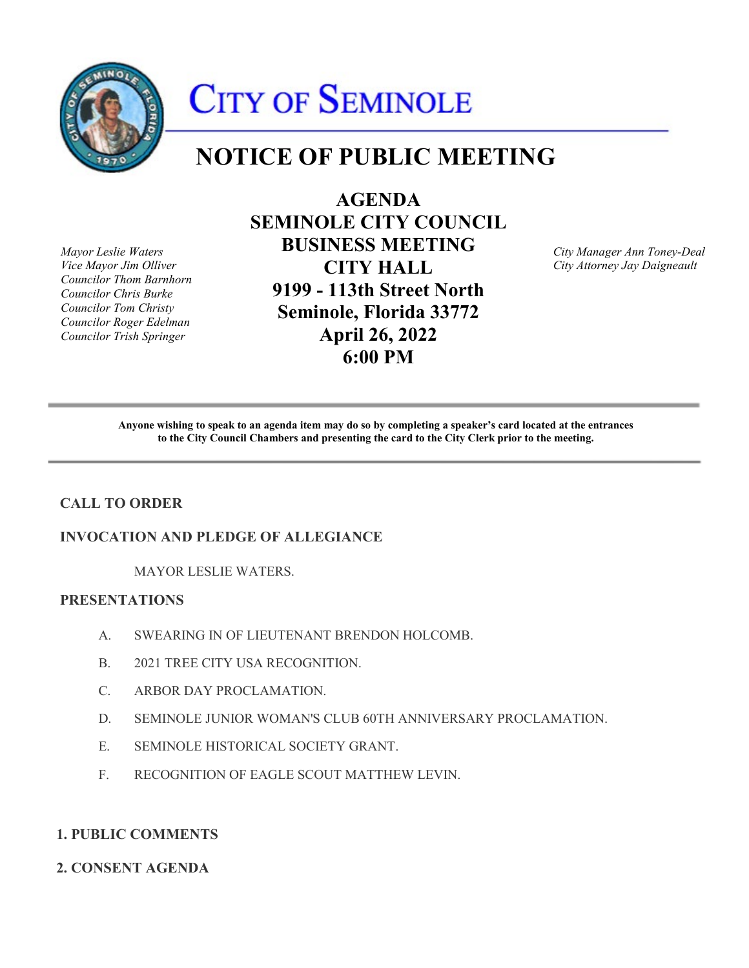

# CITY OF SEMINOLE

# **NOTICE OF PUBLIC MEETING**

*Councilor Thom Barnhorn* 

**AGENDA SEMINOLE CITY COUNCIL**  *Mayor Leslie Waters* **BUSINESS MEETING** *City Manager Ann Toney-Deal Councilor Chris Burke* **9199 - 113th Street North**  *Councilor Tom Christy* **Seminole, Florida 33772** *Councilor Roger Edelman Councilor Trish Springer* **April 26, 2022 6:00 PM** 

*Vice Mayor Jim Olliver* **CITY HALL** *City Attorney Jay Daigneault* 

 **Anyone wishing to speak to an agenda item may do so by completing a speaker's card located at the entrances to the City Council Chambers and presenting the card to the City Clerk prior to the meeting.** 

# **CALL TO ORDER**

#### **INVOCATION AND PLEDGE OF ALLEGIANCE**

MAYOR LESLIE WATERS.

### **PRESENTATIONS**

- A. SWEARING IN OF LIEUTENANT BRENDON HOLCOMB.
- B. 2021 TREE CITY USA RECOGNITION.
- C. ARBOR DAY PROCLAMATION.
- D. SEMINOLE JUNIOR WOMAN'S CLUB 60TH ANNIVERSARY PROCLAMATION.
- E. SEMINOLE HISTORICAL SOCIETY GRANT.
- F. RECOGNITION OF EAGLE SCOUT MATTHEW LEVIN.

## **1. PUBLIC COMMENTS**

### **2. CONSENT AGENDA**